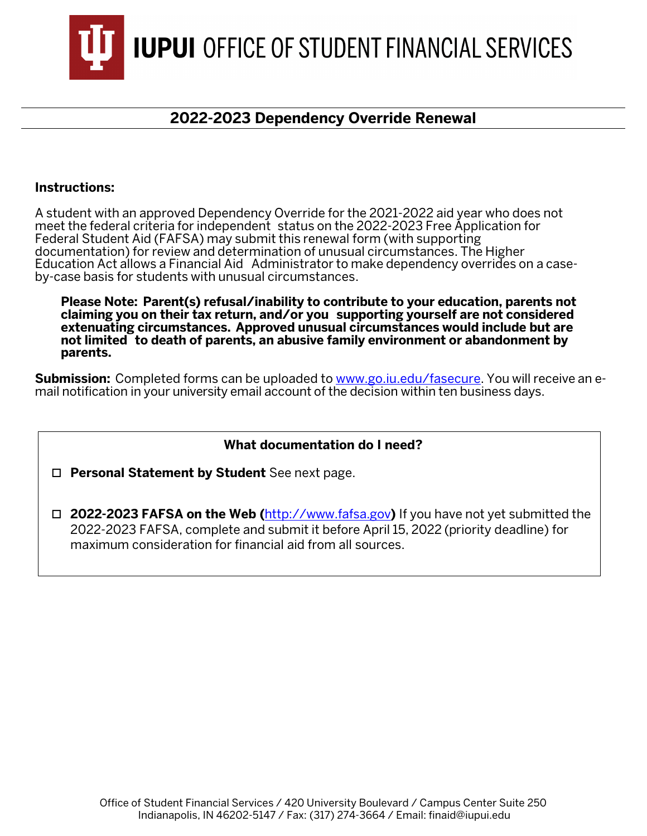

## **2022-2023 Dependency Override Renewal**

## **Instructions:**

A student with an approved Dependency Override for the 2021-2022 aid year who does not meet the federal criteria for independent status on the 2022-2023 Free Application for Federal Student Aid (FAFSA) may submit this renewal form (with supporting documentation) for review and determination of unusual circumstances. The Higher Education Act allows a Financial Aid Administrator to make dependency overrides on a caseby-case basis for students with unusual circumstances.

**Please Note: Parent(s) refusal/inability to contribute to your education, parents not claiming you on their tax return, and/or you supporting yourself are not considered extenuating circumstances. Approved unusual circumstances would include but are not limited to death of parents, an abusive family environment or abandonment by parents.**

**Submission:** Completed forms can be uploaded to [www.go.iu.edu/fasecure.](http://www.go.iu.edu/fasecure) You will receive an email notification in your university email account of the decision within ten business days.

## **What documentation do I need?**

**Personal Statement by Student** See next page.

 **2022-2023 FAFSA on the Web (**[http://www.fafsa.gov](http://www.fafsa.ed.gov/)**)** If you have not yet submitted the 2022-2023 FAFSA, complete and submit it before April 15, 2022 (priority deadline) for maximum consideration for financial aid from all sources.